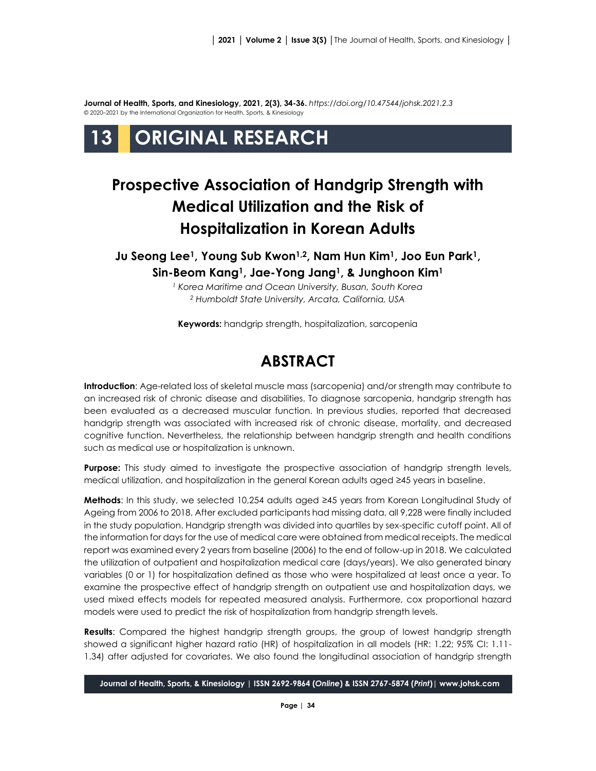**Journal of Health, Sports, and Kinesiology, 2021, 2(3), 34-36.** *<https://doi.org/10.47544/johsk.2021.2.3>* © 2020–2021 by the International Organization for Health, Sports, & Kinesiology

# **13 ORIGINAL RESEARCH**

## **Prospective Association of Handgrip Strength with Medical Utilization and the Risk of Hospitalization in Korean Adults**

**Ju Seong Lee1, Young Sub Kwon1,2, Nam Hun Kim1, Joo Eun Park1, Sin-Beom Kang1, Jae-Yong Jang1, & Junghoon Kim<sup>1</sup>**

> *<sup>1</sup> Korea Maritime and Ocean University, Busan, South Korea <sup>2</sup> Humboldt State University, Arcata, California, USA*

**Keywords:** handgrip strength, hospitalization, sarcopenia

### **ABSTRACT**

**Introduction**: Age-related loss of skeletal muscle mass (sarcopenia) and/or strength may contribute to an increased risk of chronic disease and disabilities. To diagnose sarcopenia, handgrip strength has been evaluated as a decreased muscular function. In previous studies, reported that decreased handgrip strength was associated with increased risk of chronic disease, mortality, and decreased cognitive function. Nevertheless, the relationship between handgrip strength and health conditions such as medical use or hospitalization is unknown.

**Purpose:** This study aimed to investigate the prospective association of handgrip strength levels, medical utilization, and hospitalization in the general Korean adults aged ≥45 years in baseline.

**Methods**: In this study, we selected 10,254 adults aged ≥45 years from Korean Longitudinal Study of Ageing from 2006 to 2018. After excluded participants had missing data, all 9,228 were finally included in the study population. Handgrip strength was divided into quartiles by sex-specific cutoff point. All of the information for days for the use of medical care were obtained from medical receipts. The medical report was examined every 2 years from baseline (2006) to the end of follow-up in 2018. We calculated the utilization of outpatient and hospitalization medical care (days/years). We also generated binary variables (0 or 1) for hospitalization defined as those who were hospitalized at least once a year. To examine the prospective effect of handgrip strength on outpatient use and hospitalization days, we used mixed effects models for repeated measured analysis. Furthermore, cox proportional hazard models were used to predict the risk of hospitalization from handgrip strength levels.

**Results**: Compared the highest handgrip strength groups, the group of lowest handgrip strength showed a significant higher hazard ratio (HR) of hospitalization in all models (HR: 1.22; 95% CI: 1.11- 1.34) after adjusted for covariates. We also found the longitudinal association of handgrip strength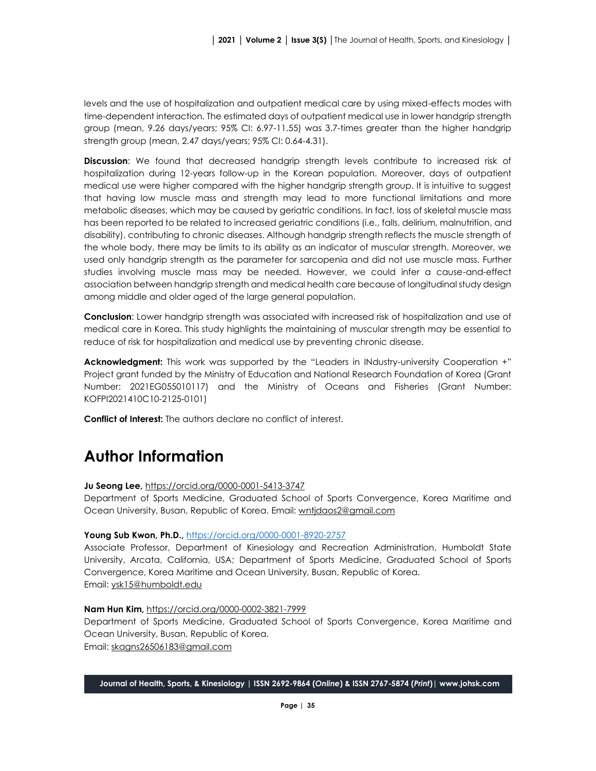levels and the use of hospitalization and outpatient medical care by using mixed-effects modes with time-dependent interaction. The estimated days of outpatient medical use in lower handgrip strength group (mean, 9.26 days/years; 95% CI: 6.97-11.55) was 3.7-times greater than the higher handgrip strength group (mean, 2.47 days/years; 95% CI: 0.64-4.31).

**Discussion**: We found that decreased handgrip strength levels contribute to increased risk of hospitalization during 12-years follow-up in the Korean population. Moreover, days of outpatient medical use were higher compared with the higher handgrip strength group. It is intuitive to suggest that having low muscle mass and strength may lead to more functional limitations and more metabolic diseases, which may be caused by geriatric conditions. In fact, loss of skeletal muscle mass has been reported to be related to increased geriatric conditions (i.e., falls, delirium, malnutrition, and disability), contributing to chronic diseases. Although handgrip strength reflects the muscle strength of the whole body, there may be limits to its ability as an indicator of muscular strength. Moreover, we used only handgrip strength as the parameter for sarcopenia and did not use muscle mass. Further studies involving muscle mass may be needed. However, we could infer a cause-and-effect association between handgrip strength and medical health care because of longitudinal study design among middle and older aged of the large general population.

**Conclusion**: Lower handgrip strength was associated with increased risk of hospitalization and use of medical care in Korea. This study highlights the maintaining of muscular strength may be essential to reduce of risk for hospitalization and medical use by preventing chronic disease.

**Acknowledgment:** This work was supported by the "Leaders in INdustry-university Cooperation +" Project grant funded by the Ministry of Education and National Research Foundation of Korea (Grant Number: 2021EG055010117) and the Ministry of Oceans and Fisheries (Grant Number: KOFPI2021410C10-2125-0101)

**Conflict of Interest:** The authors declare no conflict of interest.

## **Author Information**

**Ju Seong Lee,** <https://orcid.org/0000-0001-5413-3747>

Department of Sports Medicine, Graduated School of Sports Convergence, Korea Maritime and Ocean University, Busan, Republic of Korea. Email[: wntjdaos2@gmail.com](mailto:wntjdaos2@gmail.com)

#### **Young Sub Kwon, Ph.D.,** <https://orcid.org/0000-0001-8920-2757>

Associate Professor, Department of Kinesiology and Recreation Administration, Humboldt State University, Arcata, California, USA; Department of Sports Medicine, Graduated School of Sports Convergence, Korea Maritime and Ocean University, Busan, Republic of Korea. Email: [ysk15@humboldt.edu](mailto:ysk15@humboldt.edu)

#### **Nam Hun Kim,** <https://orcid.org/0000-0002-3821-7999>

Department of Sports Medicine, Graduated School of Sports Convergence, Korea Maritime and Ocean University, Busan, Republic of Korea. Email: [skagns26506183@gmail.com](mailto:skagns26506183@gmail.com)